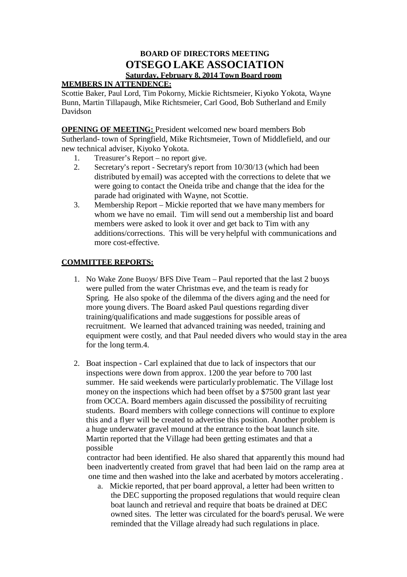# **BOARD OF DIRECTORS MEETING OTSEGO LAKE ASSOCIATION Saturday, February 8, 2014 Town Board room**

## **MEMBERS IN ATTENDENCE:**

Scottie Baker, Paul Lord, Tim Pokorny, Mickie Richtsmeier, Kiyoko Yokota, Wayne Bunn, Martin Tillapaugh, Mike Richtsmeier, Carl Good, Bob Sutherland and Emily Davidson

**OPENING OF MEETING:** President welcomed new board members Bob Sutherland- town of Springfield, Mike Richtsmeier, Town of Middlefield, and our new technical adviser, Kiyoko Yokota.

- 1. Treasurer's Report no report give.
- 2. Secretary's report Secretary's report from 10/30/13 (which had been distributed by email) was accepted with the corrections to delete that we were going to contact the Oneida tribe and change that the idea for the parade had originated with Wayne, not Scottie.
- 3. Membership Report Mickie reported that we have many members for whom we have no email. Tim will send out a membership list and board members were asked to look it over and get back to Tim with any additions/corrections. This will be very helpful with communications and more cost-effective.

## **COMMITTEE REPORTS:**

- 1. No Wake Zone Buoys/ BFS Dive Team Paul reported that the last 2 buoys were pulled from the water Christmas eve, and the team is ready for Spring. He also spoke of the dilemma of the divers aging and the need for more young divers. The Board asked Paul questions regarding diver training/qualifications and made suggestions for possible areas of recruitment. We learned that advanced training was needed, training and equipment were costly, and that Paul needed divers who would stay in the area for the long term.4.
- 2. Boat inspection Carl explained that due to lack of inspectors that our inspections were down from approx. 1200 the year before to 700 last summer. He said weekends were particularly problematic. The Village lost money on the inspections which had been offset by a \$7500 grant last year from OCCA. Board members again discussed the possibility of recruiting students. Board members with college connections will continue to explore this and a flyer will be created to advertise this position. Another problem is a huge underwater gravel mound at the entrance to the boat launch site. Martin reported that the Village had been getting estimates and that a possible

contractor had been identified. He also shared that apparently this mound had been inadvertently created from gravel that had been laid on the ramp area at one time and then washed into the lake and acerbated by motors accelerating .

a. Mickie reported, that per board approval, a letter had been written to the DEC supporting the proposed regulations that would require clean boat launch and retrieval and require that boats be drained at DEC owned sites. The letter was circulated for the board's perusal. We were reminded that the Village already had such regulations in place.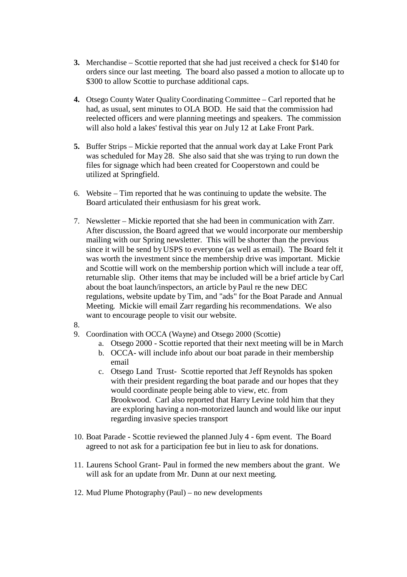- **3.** Merchandise Scottie reported that she had just received a check for \$140 for orders since our last meeting. The board also passed a motion to allocate up to \$300 to allow Scottie to purchase additional caps.
- **4.** Otsego County Water Quality Coordinating Committee Carl reported that he had, as usual, sent minutes to OLA BOD. He said that the commission had reelected officers and were planning meetings and speakers. The commission will also hold a lakes' festival this year on July 12 at Lake Front Park.
- **5.** Buffer Strips Mickie reported that the annual work day at Lake Front Park was scheduled for May 28. She also said that she was trying to run down the files for signage which had been created for Cooperstown and could be utilized at Springfield.
- 6. Website Tim reported that he was continuing to update the website. The Board articulated their enthusiasm for his great work.
- 7. Newsletter Mickie reported that she had been in communication with Zarr. After discussion, the Board agreed that we would incorporate our membership mailing with our Spring newsletter. This will be shorter than the previous since it will be send by USPS to everyone (as well as email). The Board felt it was worth the investment since the membership drive was important. Mickie and Scottie will work on the membership portion which will include a tear off, returnable slip. Other items that may be included will be a brief article by Carl about the boat launch/inspectors, an article by Paul re the new DEC regulations, website update by Tim, and "ads" for the Boat Parade and Annual Meeting. Mickie will email Zarr regarding his recommendations. We also want to encourage people to visit our website.
- 8.
- 9. Coordination with OCCA (Wayne) and Otsego 2000 (Scottie)
	- a. Otsego 2000 Scottie reported that their next meeting will be in March
	- b. OCCA- will include info about our boat parade in their membership email
	- c. Otsego Land Trust- Scottie reported that Jeff Reynolds has spoken with their president regarding the boat parade and our hopes that they would coordinate people being able to view, etc. from Brookwood. Carl also reported that Harry Levine told him that they are exploring having a non-motorized launch and would like our input regarding invasive species transport
- 10. Boat Parade Scottie reviewed the planned July 4 6pm event. The Board agreed to not ask for a participation fee but in lieu to ask for donations.
- 11. Laurens School Grant- Paul in formed the new members about the grant. We will ask for an update from Mr. Dunn at our next meeting.
- 12. Mud Plume Photography (Paul) no new developments